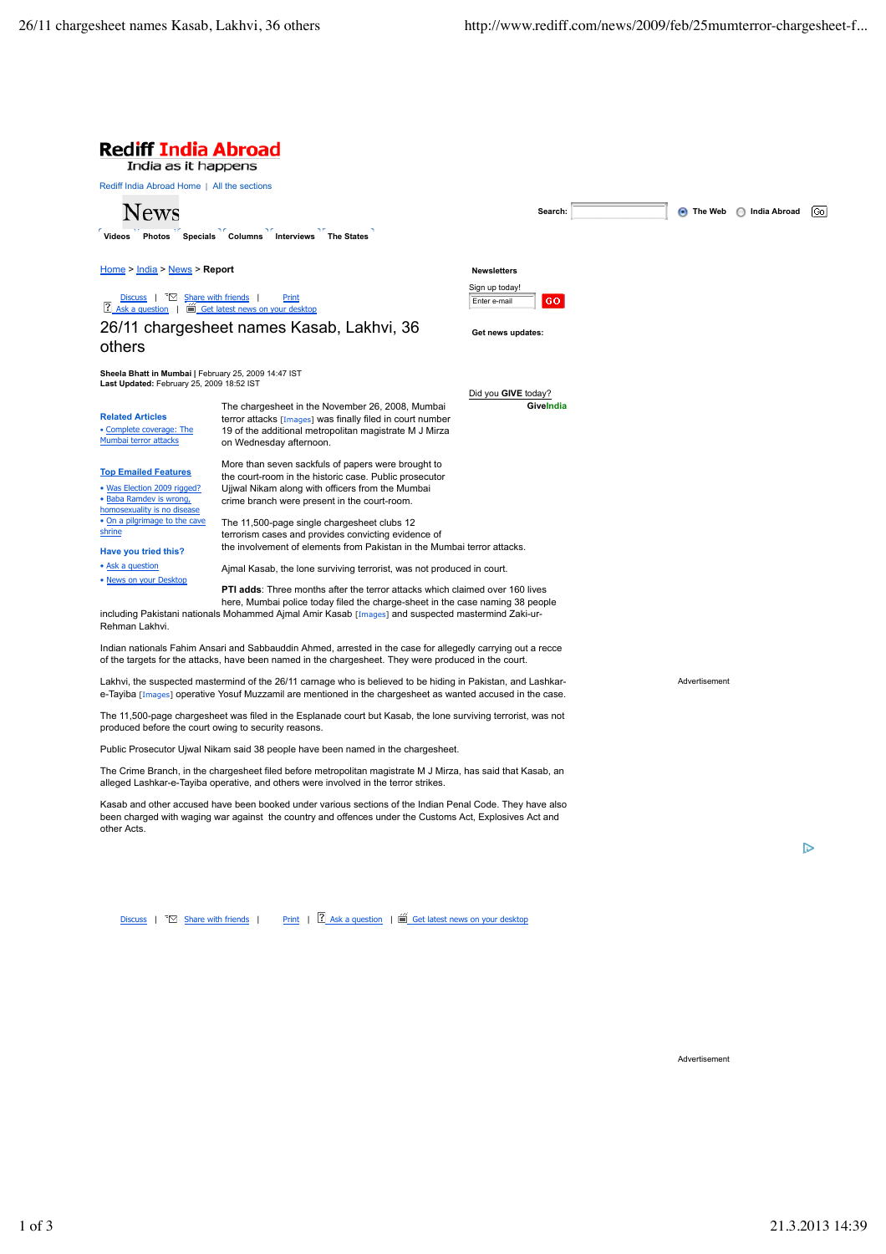

Discuss | ™ Share with friends | Print | 1 Ask a question | ■ Get latest news on your desktop

Advertisement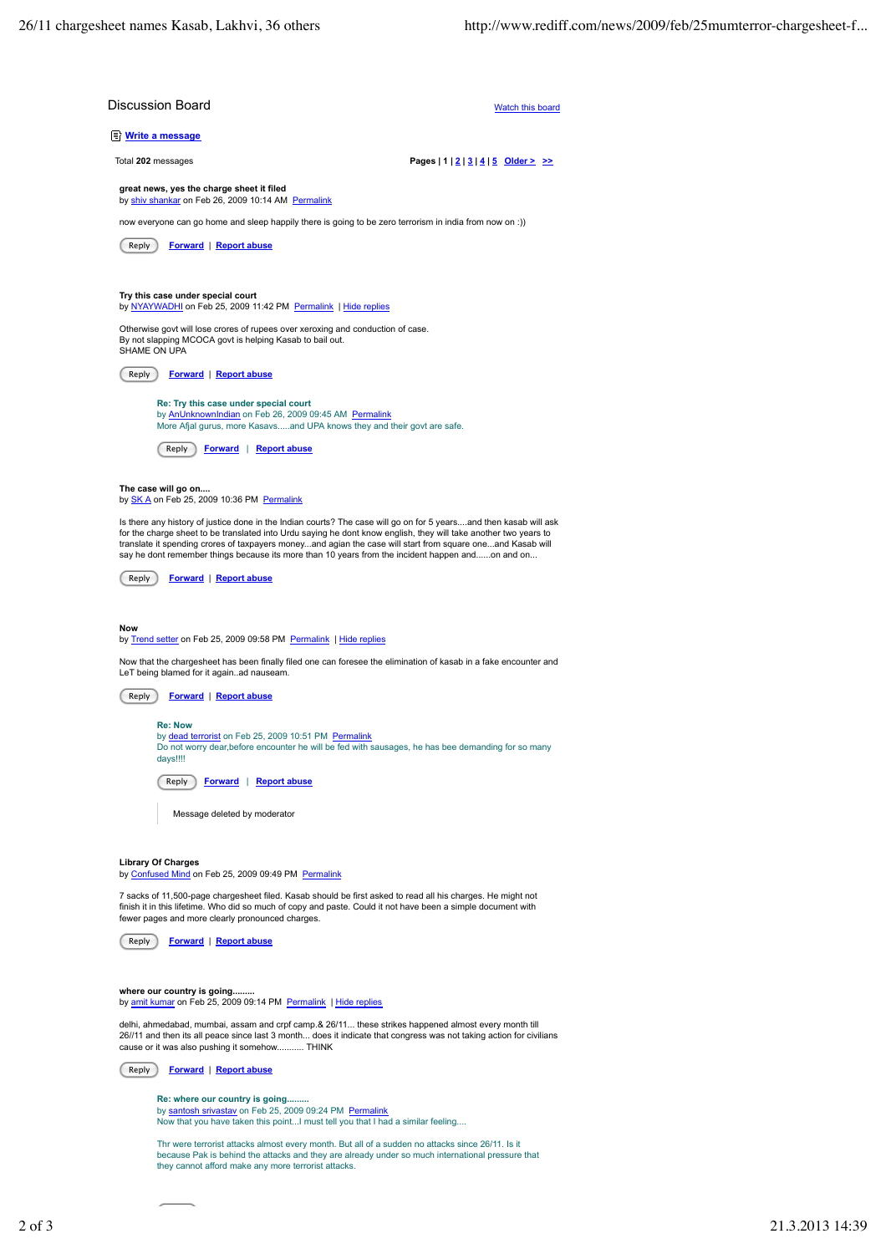